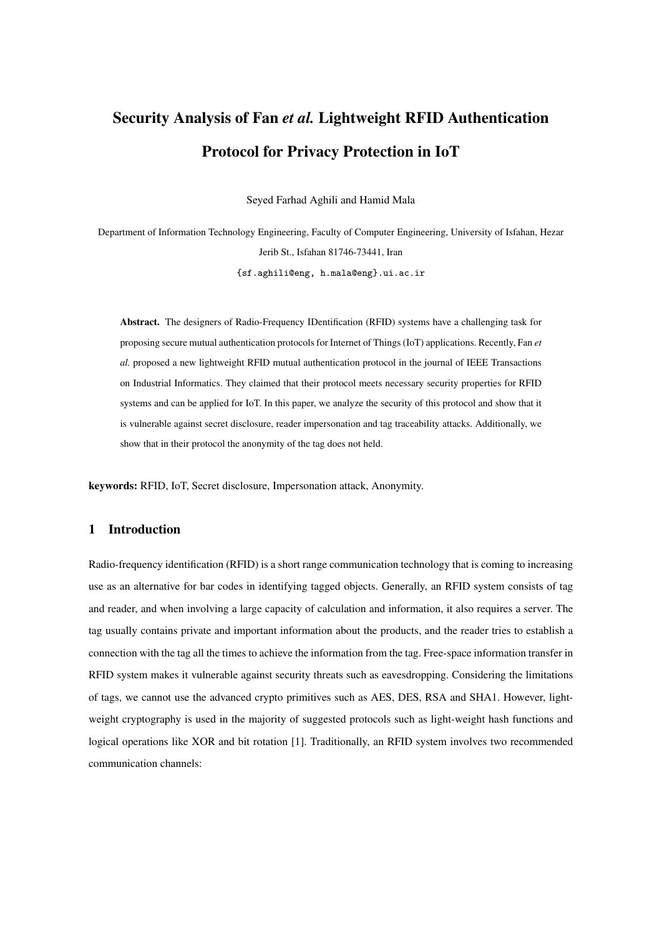# Security Analysis of Fan *et al.* Lightweight RFID Authentication Protocol for Privacy Protection in IoT

Seyed Farhad Aghili and Hamid Mala

Department of Information Technology Engineering, Faculty of Computer Engineering, University of Isfahan, Hezar Jerib St., Isfahan 81746-73441, Iran {sf.aghili@eng, h.mala@eng}.ui.ac.ir

Abstract. The designers of Radio-Frequency IDentification (RFID) systems have a challenging task for proposing secure mutual authentication protocols for Internet of Things (IoT) applications. Recently, Fan *et al.* proposed a new lightweight RFID mutual authentication protocol in the journal of IEEE Transactions on Industrial Informatics. They claimed that their protocol meets necessary security properties for RFID systems and can be applied for IoT. In this paper, we analyze the security of this protocol and show that it is vulnerable against secret disclosure, reader impersonation and tag traceability attacks. Additionally, we show that in their protocol the anonymity of the tag does not held.

keywords: RFID, IoT, Secret disclosure, Impersonation attack, Anonymity.

## 1 Introduction

Radio-frequency identification (RFID) is a short range communication technology that is coming to increasing use as an alternative for bar codes in identifying tagged objects. Generally, an RFID system consists of tag and reader, and when involving a large capacity of calculation and information, it also requires a server. The tag usually contains private and important information about the products, and the reader tries to establish a connection with the tag all the times to achieve the information from the tag. Free-space information transfer in RFID system makes it vulnerable against security threats such as eavesdropping. Considering the limitations of tags, we cannot use the advanced crypto primitives such as AES, DES, RSA and SHA1. However, lightweight cryptography is used in the majority of suggested protocols such as light-weight hash functions and logical operations like XOR and bit rotation [1]. Traditionally, an RFID system involves two recommended communication channels: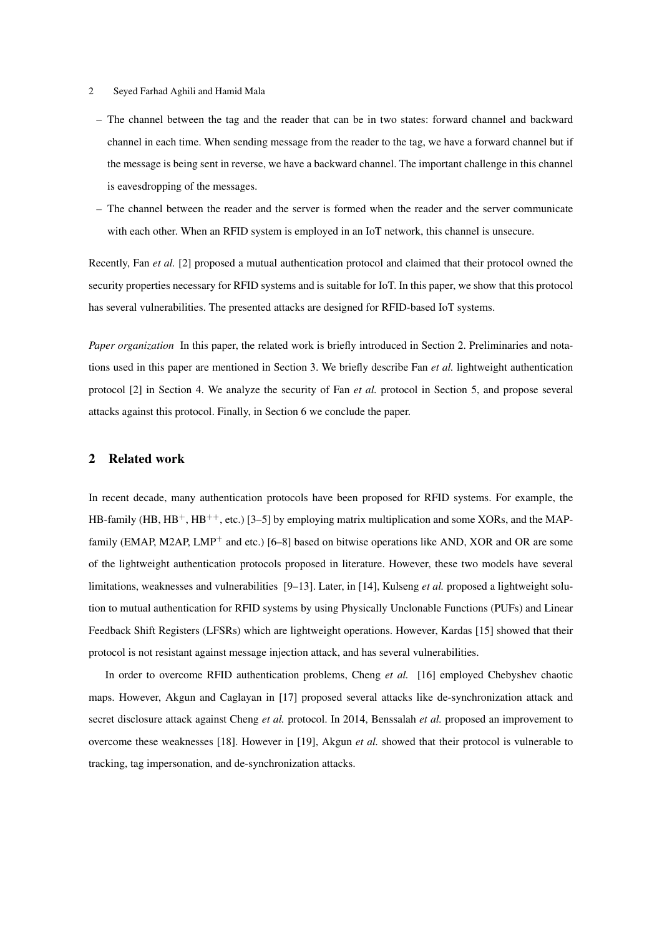- 2 Seyed Farhad Aghili and Hamid Mala
	- The channel between the tag and the reader that can be in two states: forward channel and backward channel in each time. When sending message from the reader to the tag, we have a forward channel but if the message is being sent in reverse, we have a backward channel. The important challenge in this channel is eavesdropping of the messages.
	- The channel between the reader and the server is formed when the reader and the server communicate with each other. When an RFID system is employed in an IoT network, this channel is unsecure.

Recently, Fan *et al.* [2] proposed a mutual authentication protocol and claimed that their protocol owned the security properties necessary for RFID systems and is suitable for IoT. In this paper, we show that this protocol has several vulnerabilities. The presented attacks are designed for RFID-based IoT systems.

*Paper organization* In this paper, the related work is briefly introduced in Section 2. Preliminaries and notations used in this paper are mentioned in Section 3. We briefly describe Fan *et al.* lightweight authentication protocol [2] in Section 4. We analyze the security of Fan *et al.* protocol in Section 5, and propose several attacks against this protocol. Finally, in Section 6 we conclude the paper.

#### 2 Related work

In recent decade, many authentication protocols have been proposed for RFID systems. For example, the HB-family (HB,  $HB^+$ , HB<sup>++</sup>, etc.) [3–5] by employing matrix multiplication and some XORs, and the MAPfamily (EMAP, M2AP, LMP<sup>+</sup> and etc.) [6–8] based on bitwise operations like AND, XOR and OR are some of the lightweight authentication protocols proposed in literature. However, these two models have several limitations, weaknesses and vulnerabilities [9–13]. Later, in [14], Kulseng *et al.* proposed a lightweight solution to mutual authentication for RFID systems by using Physically Unclonable Functions (PUFs) and Linear Feedback Shift Registers (LFSRs) which are lightweight operations. However, Kardas [15] showed that their protocol is not resistant against message injection attack, and has several vulnerabilities.

In order to overcome RFID authentication problems, Cheng *et al.* [16] employed Chebyshev chaotic maps. However, Akgun and Caglayan in [17] proposed several attacks like de-synchronization attack and secret disclosure attack against Cheng *et al.* protocol. In 2014, Benssalah *et al.* proposed an improvement to overcome these weaknesses [18]. However in [19], Akgun *et al.* showed that their protocol is vulnerable to tracking, tag impersonation, and de-synchronization attacks.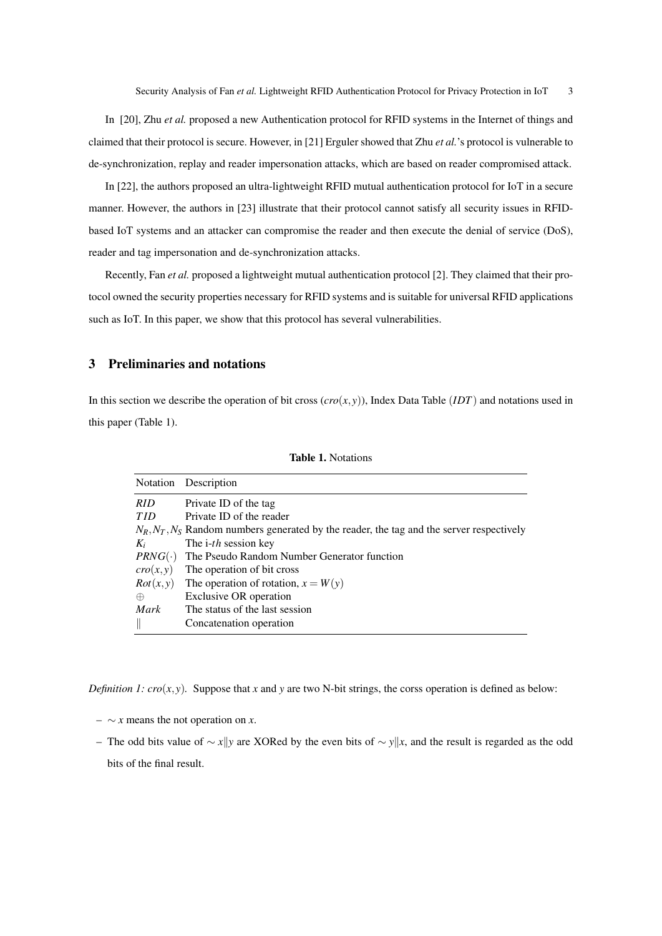In [20], Zhu *et al.* proposed a new Authentication protocol for RFID systems in the Internet of things and claimed that their protocol is secure. However, in [21] Erguler showed that Zhu *et al.*'s protocol is vulnerable to de-synchronization, replay and reader impersonation attacks, which are based on reader compromised attack.

In [22], the authors proposed an ultra-lightweight RFID mutual authentication protocol for IoT in a secure manner. However, the authors in [23] illustrate that their protocol cannot satisfy all security issues in RFIDbased IoT systems and an attacker can compromise the reader and then execute the denial of service (DoS), reader and tag impersonation and de-synchronization attacks.

Recently, Fan *et al.* proposed a lightweight mutual authentication protocol [2]. They claimed that their protocol owned the security properties necessary for RFID systems and is suitable for universal RFID applications such as IoT. In this paper, we show that this protocol has several vulnerabilities.

### 3 Preliminaries and notations

In this section we describe the operation of bit cross  $(cro(x, y))$ , Index Data Table (*IDT*) and notations used in this paper (Table 1).

|  | <b>Table 1. Notations</b> |
|--|---------------------------|
|  |                           |

| <b>Notation</b> | Description                                                                                       |
|-----------------|---------------------------------------------------------------------------------------------------|
| <b>RID</b>      | Private ID of the tag                                                                             |
| <b>TID</b>      | Private ID of the reader                                                                          |
|                 | $N_R$ , $N_T$ , $N_S$ Random numbers generated by the reader, the tag and the server respectively |
| $K_i$           | The <i>i-th</i> session key                                                                       |
| $PRNG(\cdot)$   | The Pseudo Random Number Generator function                                                       |
| cro(x,y)        | The operation of bit cross                                                                        |
| Rot(x, y)       | The operation of rotation, $x = W(y)$                                                             |
| $\oplus$        | Exclusive OR operation                                                                            |
| Mark            | The status of the last session                                                                    |
|                 | Concatenation operation                                                                           |

*Definition 1:*  $cro(x, y)$ *.* Suppose that *x* and *y* are two N-bit strings, the corss operation is defined as below:

- $\sim$  *x* means the not operation on *x*.
- The odd bits value of ∼ *x*k*y* are XORed by the even bits of ∼ *y*k*x*, and the result is regarded as the odd bits of the final result.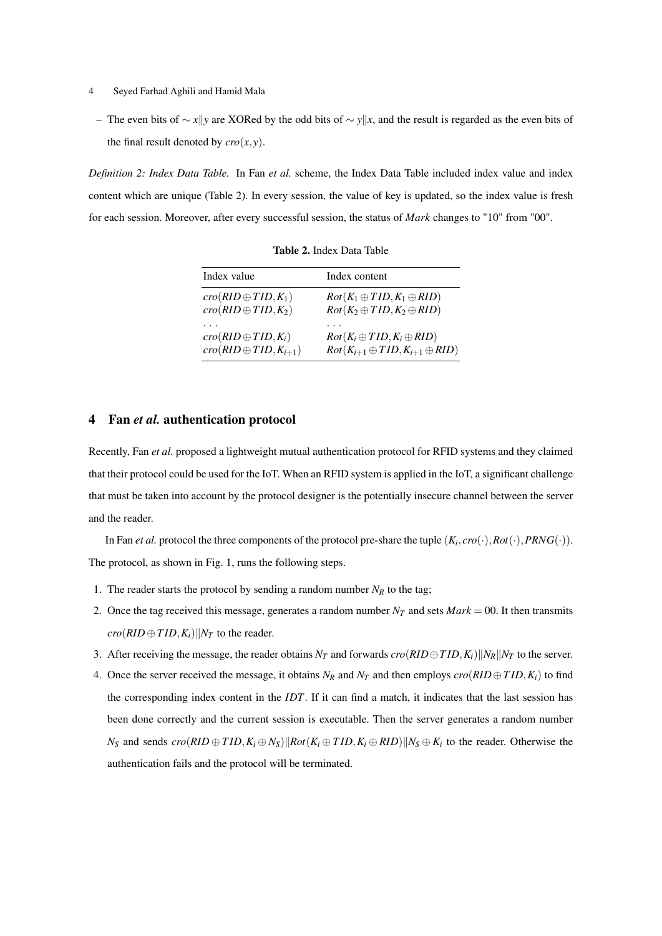- 4 Seyed Farhad Aghili and Hamid Mala
	- The even bits of  $\sim$  *x* $\|$ *y* are XORed by the odd bits of  $\sim$  *y* $\|$ *x*, and the result is regarded as the even bits of the final result denoted by  $\text{cro}(x, y)$ .

*Definition 2: Index Data Table.* In Fan *et al.* scheme, the Index Data Table included index value and index content which are unique (Table 2). In every session, the value of key is updated, so the index value is fresh for each session. Moreover, after every successful session, the status of *Mark* changes to "10" from "00".

| Index value                    | Index content                                 |
|--------------------------------|-----------------------------------------------|
| $cro(RID \oplus TID, K_1)$     | $Rot(K_1 \oplus TID, K_1 \oplus RID)$         |
| $cro(RID \oplus TID, K_2)$     | $Rot(K_2 \oplus TID, K_2 \oplus RID)$         |
| $cro(RID \oplus TID, K_i)$     | $Rot(K_i \oplus TID, K_i \oplus RID)$         |
| $cro(RID \oplus TID, K_{i+1})$ | $Rot(K_{i+1} \oplus TID, K_{i+1} \oplus RID)$ |

Table 2. Index Data Table

#### 4 Fan *et al.* authentication protocol

Recently, Fan *et al.* proposed a lightweight mutual authentication protocol for RFID systems and they claimed that their protocol could be used for the IoT. When an RFID system is applied in the IoT, a significant challenge that must be taken into account by the protocol designer is the potentially insecure channel between the server and the reader.

In Fan *et al*. protocol the three components of the protocol pre-share the tuple  $(K_i, cro(\cdot), Rot(\cdot), PRNG(\cdot)).$ The protocol, as shown in Fig. 1, runs the following steps.

- 1. The reader starts the protocol by sending a random number  $N_R$  to the tag;
- 2. Once the tag received this message, generates a random number  $N_T$  and sets  $Mark = 00$ . It then transmits  $\frac{c\pi o(RID \oplus TID, K_i)}{N_T}$  to the reader.
- 3. After receiving the message, the reader obtains  $N_T$  and forwards  $\text{cro}(RID \oplus TID, K_i) \|\text{N}_R\|\text{N}_T$  to the server.
- 4. Once the server received the message, it obtains  $N_R$  and  $N_T$  and then employs  $\text{cro}(RID \oplus TID, K_i)$  to find the corresponding index content in the *IDT*. If it can find a match, it indicates that the last session has been done correctly and the current session is executable. Then the server generates a random number  $N_S$  and sends  $cro(RID \oplus TID, K_i \oplus N_S)||Rot(K_i \oplus TID, K_i \oplus RID)||N_S \oplus K_i$  to the reader. Otherwise the authentication fails and the protocol will be terminated.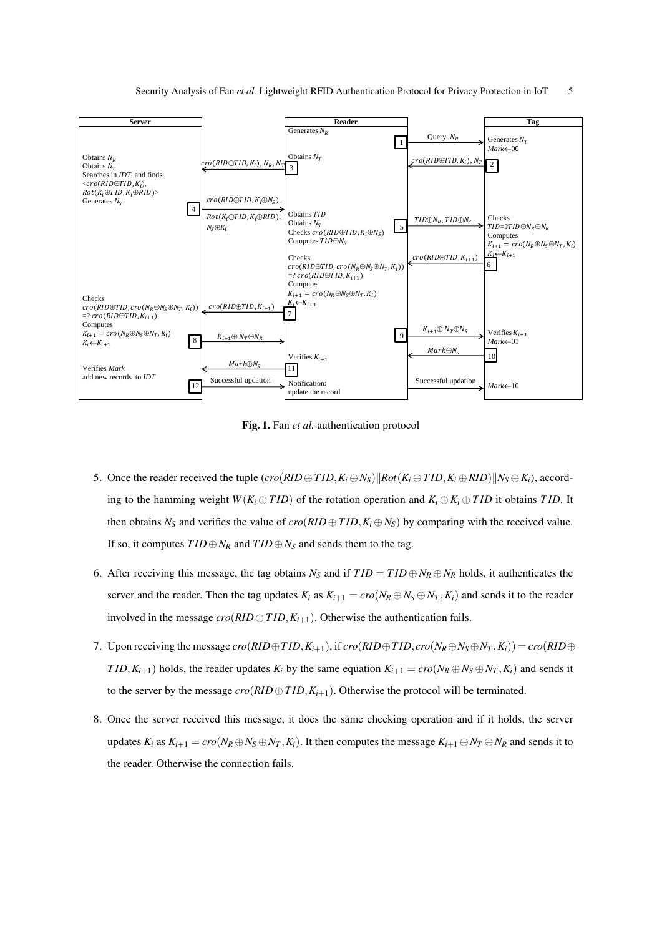

Fig. 1. Fan *et al.* authentication protocol

- 5. Once the reader received the tuple  $(cro(RID \oplus TID, K_i \oplus N_S)||Rot(K_i \oplus TID, K_i \oplus RID)||N_S \oplus K_i)$ , according to the hamming weight  $W(K_i \oplus TID)$  of the rotation operation and  $K_i \oplus K_i \oplus TID$  it obtains *TID*. It then obtains  $N_S$  and verifies the value of  $cro(RID \oplus TID, K_i \oplus N_S)$  by comparing with the received value. If so, it computes  $TID \oplus N_R$  and  $TID \oplus N_S$  and sends them to the tag.
- 6. After receiving this message, the tag obtains  $N_S$  and if  $TID = TID \oplus N_R \oplus N_R$  holds, it authenticates the server and the reader. Then the tag updates  $K_i$  as  $K_{i+1} = cro(N_R \oplus N_S \oplus N_T, K_i)$  and sends it to the reader involved in the message  $\text{cro}(RID \oplus TID, K_{i+1})$ . Otherwise the authentication fails.
- 7. Upon receiving the message  $cro(RID \oplus TID, K_{i+1})$ , if  $cro(RID \oplus TID, cro(N_R \oplus N_S \oplus N_T, K_i)) = cro(RID \oplus TID, cvRID \oplus TID, cvRID \oplus TID, cvRID \oplus TID, cvRID \oplus TID, cvRID \oplus TID, cvRID \oplus TID, cvRID \oplus TID, cvRID \oplus TID, cvRID \oplus TID, cvRID \oplus TID, cvRID \oplus TID, cvRID \oplus TID, cvRID \oplus TID, cvRID \oplus TID, cvRID \oplus$ *TID*,  $K_{i+1}$ ) holds, the reader updates  $K_i$  by the same equation  $K_{i+1} = cro(N_R \oplus N_S \oplus N_T, K_i)$  and sends it to the server by the message  $\text{cro}(RID \oplus TID, K_{i+1})$ . Otherwise the protocol will be terminated.
- 8. Once the server received this message, it does the same checking operation and if it holds, the server updates  $K_i$  as  $K_{i+1} = cro(N_R \oplus N_S \oplus N_T, K_i)$ . It then computes the message  $K_{i+1} \oplus N_T \oplus N_R$  and sends it to the reader. Otherwise the connection fails.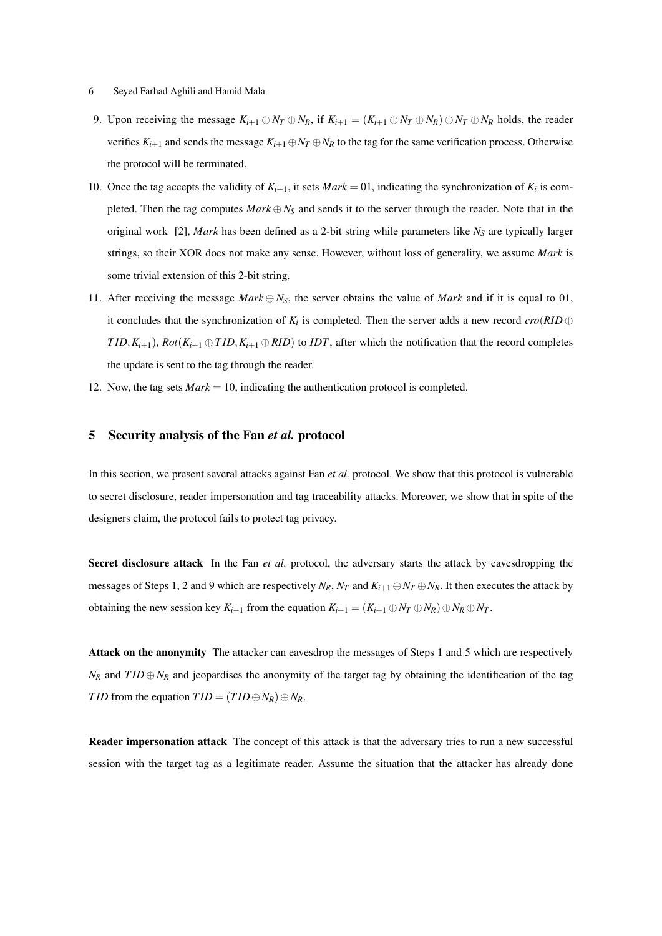#### 6 Seyed Farhad Aghili and Hamid Mala

- 9. Upon receiving the message  $K_{i+1} \oplus N_T \oplus N_R$ , if  $K_{i+1} = (K_{i+1} \oplus N_T \oplus N_R) \oplus N_T \oplus N_R$  holds, the reader verifies  $K_{i+1}$  and sends the message  $K_{i+1} \oplus N_T \oplus N_R$  to the tag for the same verification process. Otherwise the protocol will be terminated.
- 10. Once the tag accepts the validity of  $K_{i+1}$ , it sets  $Mark = 01$ , indicating the synchronization of  $K_i$  is completed. Then the tag computes  $Mark \oplus N_S$  and sends it to the server through the reader. Note that in the original work [2], *Mark* has been defined as a 2-bit string while parameters like *N<sup>S</sup>* are typically larger strings, so their XOR does not make any sense. However, without loss of generality, we assume *Mark* is some trivial extension of this 2-bit string.
- 11. After receiving the message *Mark*  $\oplus N_S$ , the server obtains the value of *Mark* and if it is equal to 01, it concludes that the synchronization of  $K_i$  is completed. Then the server adds a new record  $\text{cro}(RID \oplus$ *TID*,  $K_{i+1}$ ), *Rot*( $K_{i+1} \oplus TID$ ,  $K_{i+1} \oplus RID$ ) to *IDT*, after which the notification that the record completes the update is sent to the tag through the reader.
- 12. Now, the tag sets *Mark* = 10, indicating the authentication protocol is completed.

#### 5 Security analysis of the Fan *et al.* protocol

In this section, we present several attacks against Fan *et al.* protocol. We show that this protocol is vulnerable to secret disclosure, reader impersonation and tag traceability attacks. Moreover, we show that in spite of the designers claim, the protocol fails to protect tag privacy.

Secret disclosure attack In the Fan *et al.* protocol, the adversary starts the attack by eavesdropping the messages of Steps 1, 2 and 9 which are respectively  $N_R$ ,  $N_T$  and  $K_{i+1} \oplus N_T \oplus N_R$ . It then executes the attack by obtaining the new session key  $K_{i+1}$  from the equation  $K_{i+1} = (K_{i+1} \oplus N_T \oplus N_R) \oplus N_R \oplus N_T$ .

Attack on the anonymity The attacker can eavesdrop the messages of Steps 1 and 5 which are respectively  $N_R$  and  $TID \oplus N_R$  and jeopardises the anonymity of the target tag by obtaining the identification of the tag *TID* from the equation  $TID = (TID \oplus N_R) \oplus N_R$ .

Reader impersonation attack The concept of this attack is that the adversary tries to run a new successful session with the target tag as a legitimate reader. Assume the situation that the attacker has already done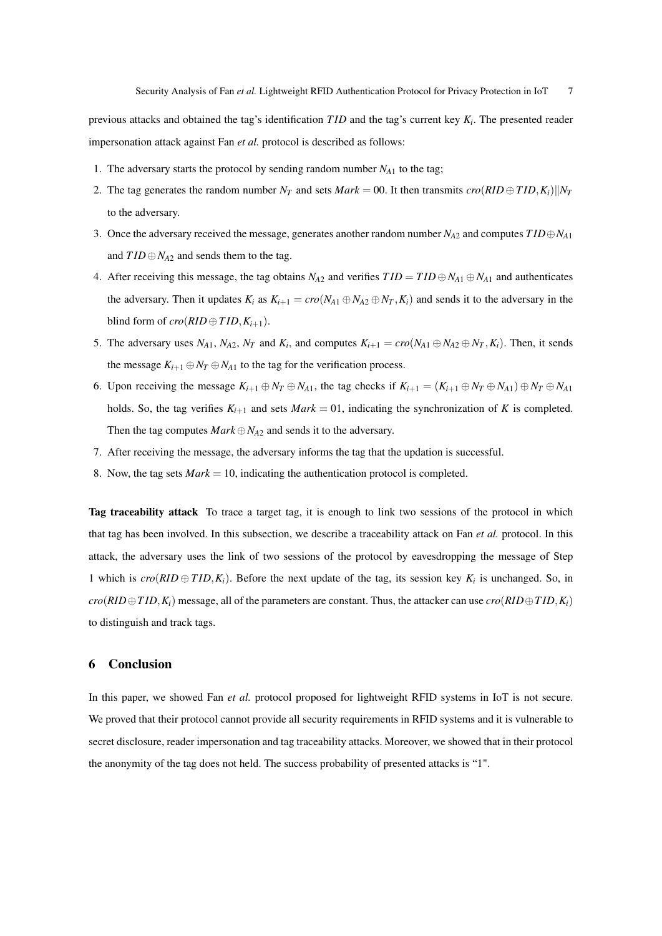previous attacks and obtained the tag's identification *T ID* and the tag's current key *K<sup>i</sup>* . The presented reader impersonation attack against Fan *et al.* protocol is described as follows:

- 1. The adversary starts the protocol by sending random number  $N_{A1}$  to the tag;
- 2. The tag generates the random number  $N_T$  and sets  $Mark = 00$ . It then transmits  $\text{cro}(RID \oplus TID, K_i)||N_T$ to the adversary.
- 3. Once the adversary received the message, generates another random number *NA*<sup>2</sup> and computes *T ID*⊕*NA*<sup>1</sup> and  $TID \oplus N_{A2}$  and sends them to the tag.
- 4. After receiving this message, the tag obtains  $N_{A2}$  and verifies  $TID = TID \oplus N_{A1} \oplus N_{A1}$  and authenticates the adversary. Then it updates  $K_i$  as  $K_{i+1} = cro(N_{A1} \oplus N_{A2} \oplus N_T, K_i)$  and sends it to the adversary in the blind form of  $\text{cro}(RID \oplus TID, K_{i+1})$ .
- 5. The adversary uses  $N_{A1}$ ,  $N_{A2}$ ,  $N_T$  and  $K_i$ , and computes  $K_{i+1} = cro(N_{A1} \oplus N_{A2} \oplus N_T, K_i)$ . Then, it sends the message  $K_{i+1} \oplus N_T \oplus N_{A1}$  to the tag for the verification process.
- 6. Upon receiving the message  $K_{i+1} \oplus N_T \oplus N_{A1}$ , the tag checks if  $K_{i+1} = (K_{i+1} \oplus N_T \oplus N_{A1}) \oplus N_T \oplus N_{A1}$ holds. So, the tag verifies  $K_{i+1}$  and sets  $Mark = 01$ , indicating the synchronization of *K* is completed. Then the tag computes  $Mark \oplus N_{A2}$  and sends it to the adversary.
- 7. After receiving the message, the adversary informs the tag that the updation is successful.
- 8. Now, the tag sets *Mark* = 10, indicating the authentication protocol is completed.

Tag traceability attack To trace a target tag, it is enough to link two sessions of the protocol in which that tag has been involved. In this subsection, we describe a traceability attack on Fan *et al.* protocol. In this attack, the adversary uses the link of two sessions of the protocol by eavesdropping the message of Step 1 which is  $\text{cro}(RID \oplus TID, K_i)$ . Before the next update of the tag, its session key  $K_i$  is unchanged. So, in  $cro(RID \oplus TID, K_i)$  message, all of the parameters are constant. Thus, the attacker can use  $cro(RID \oplus TID, K_i)$ to distinguish and track tags.

#### 6 Conclusion

In this paper, we showed Fan *et al.* protocol proposed for lightweight RFID systems in IoT is not secure. We proved that their protocol cannot provide all security requirements in RFID systems and it is vulnerable to secret disclosure, reader impersonation and tag traceability attacks. Moreover, we showed that in their protocol the anonymity of the tag does not held. The success probability of presented attacks is "1".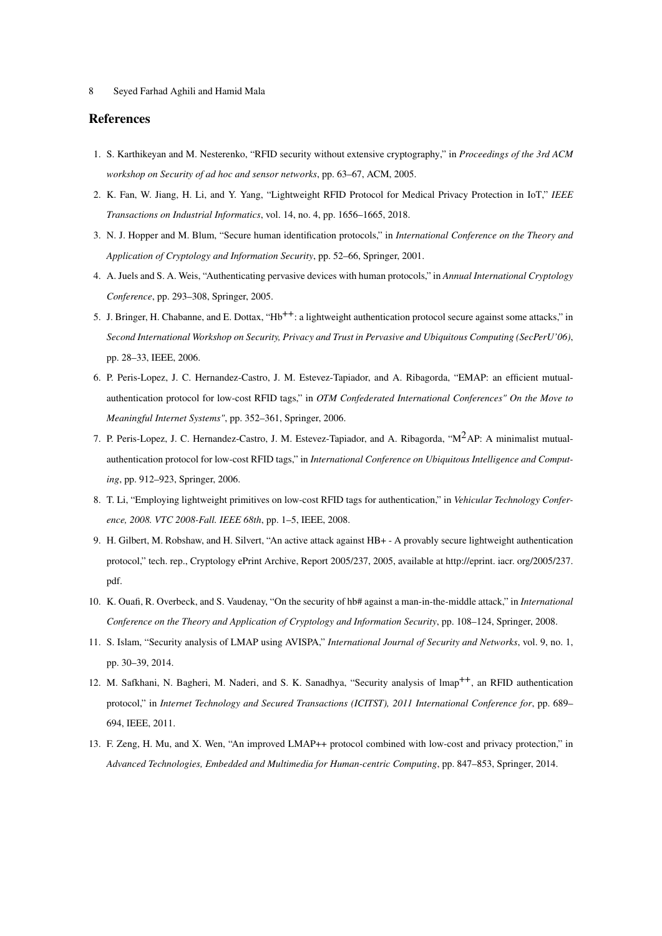8 Seyed Farhad Aghili and Hamid Mala

#### References

- 1. S. Karthikeyan and M. Nesterenko, "RFID security without extensive cryptography," in *Proceedings of the 3rd ACM workshop on Security of ad hoc and sensor networks*, pp. 63–67, ACM, 2005.
- 2. K. Fan, W. Jiang, H. Li, and Y. Yang, "Lightweight RFID Protocol for Medical Privacy Protection in IoT," *IEEE Transactions on Industrial Informatics*, vol. 14, no. 4, pp. 1656–1665, 2018.
- 3. N. J. Hopper and M. Blum, "Secure human identification protocols," in *International Conference on the Theory and Application of Cryptology and Information Security*, pp. 52–66, Springer, 2001.
- 4. A. Juels and S. A. Weis, "Authenticating pervasive devices with human protocols," in *Annual International Cryptology Conference*, pp. 293–308, Springer, 2005.
- 5. J. Bringer, H. Chabanne, and E. Dottax, "Hb<sup>++</sup>: a lightweight authentication protocol secure against some attacks," in *Second International Workshop on Security, Privacy and Trust in Pervasive and Ubiquitous Computing (SecPerU'06)*, pp. 28–33, IEEE, 2006.
- 6. P. Peris-Lopez, J. C. Hernandez-Castro, J. M. Estevez-Tapiador, and A. Ribagorda, "EMAP: an efficient mutualauthentication protocol for low-cost RFID tags," in *OTM Confederated International Conferences" On the Move to Meaningful Internet Systems"*, pp. 352–361, Springer, 2006.
- 7. P. Peris-Lopez, J. C. Hernandez-Castro, J. M. Estevez-Tapiador, and A. Ribagorda, "M<sup>2</sup>AP: A minimalist mutualauthentication protocol for low-cost RFID tags," in *International Conference on Ubiquitous Intelligence and Computing*, pp. 912–923, Springer, 2006.
- 8. T. Li, "Employing lightweight primitives on low-cost RFID tags for authentication," in *Vehicular Technology Conference, 2008. VTC 2008-Fall. IEEE 68th*, pp. 1–5, IEEE, 2008.
- 9. H. Gilbert, M. Robshaw, and H. Silvert, "An active attack against HB+ A provably secure lightweight authentication protocol," tech. rep., Cryptology ePrint Archive, Report 2005/237, 2005, available at http://eprint. iacr. org/2005/237. pdf.
- 10. K. Ouafi, R. Overbeck, and S. Vaudenay, "On the security of hb# against a man-in-the-middle attack," in *International Conference on the Theory and Application of Cryptology and Information Security*, pp. 108–124, Springer, 2008.
- 11. S. Islam, "Security analysis of LMAP using AVISPA," *International Journal of Security and Networks*, vol. 9, no. 1, pp. 30–39, 2014.
- 12. M. Safkhani, N. Bagheri, M. Naderi, and S. K. Sanadhya, "Security analysis of lmap++, an RFID authentication protocol," in *Internet Technology and Secured Transactions (ICITST), 2011 International Conference for*, pp. 689– 694, IEEE, 2011.
- 13. F. Zeng, H. Mu, and X. Wen, "An improved LMAP++ protocol combined with low-cost and privacy protection," in *Advanced Technologies, Embedded and Multimedia for Human-centric Computing*, pp. 847–853, Springer, 2014.